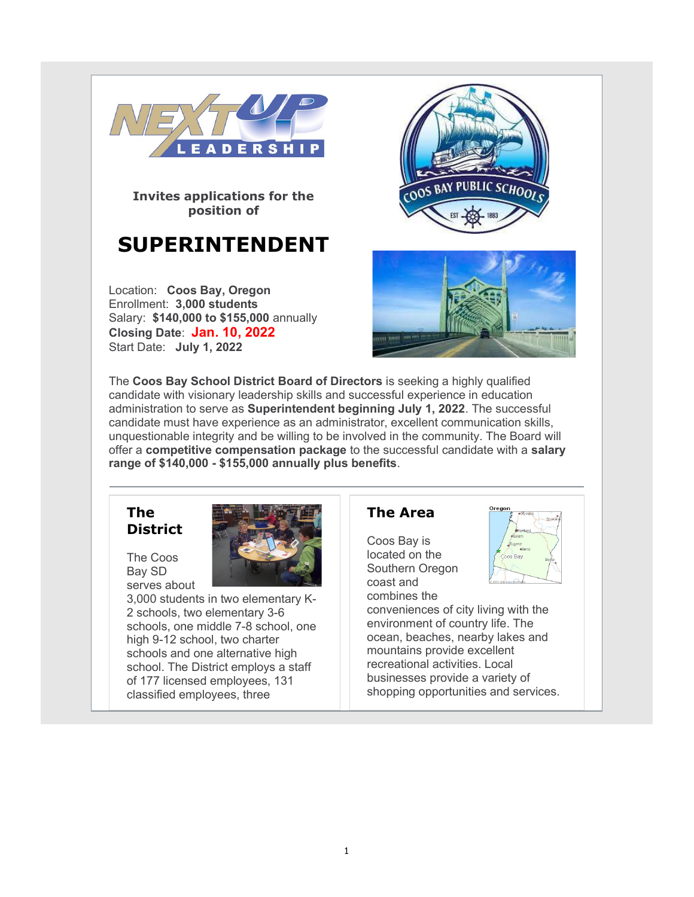

Invites applications for the position of

# SUPERINTENDENT

Location: Coos Bay, Oregon Enrollment: 3,000 students Salary: \$140,000 to \$155,000 annually Closing Date: Jan. 10, 2022 Start Date: July 1, 2022





The Coos Bay School District Board of Directors is seeking a highly qualified candidate with visionary leadership skills and successful experience in education administration to serve as Superintendent beginning July 1, 2022. The successful candidate must have experience as an administrator, excellent communication skills, unquestionable integrity and be willing to be involved in the community. The Board will offer a competitive compensation package to the successful candidate with a salary range of \$140,000 - \$155,000 annually plus benefits.

### The **District**

The Coos Bay SD serves about



3,000 students in two elementary K-2 schools, two elementary 3-6 schools, one middle 7-8 school, one high 9-12 school, two charter schools and one alternative high school. The District employs a staff of 177 licensed employees, 131 classified employees, three

# The Area

Coos Bay is located on the Southern Oregon coast and



combines the conveniences of city living with the environment of country life. The ocean, beaches, nearby lakes and mountains provide excellent recreational activities. Local businesses provide a variety of shopping opportunities and services.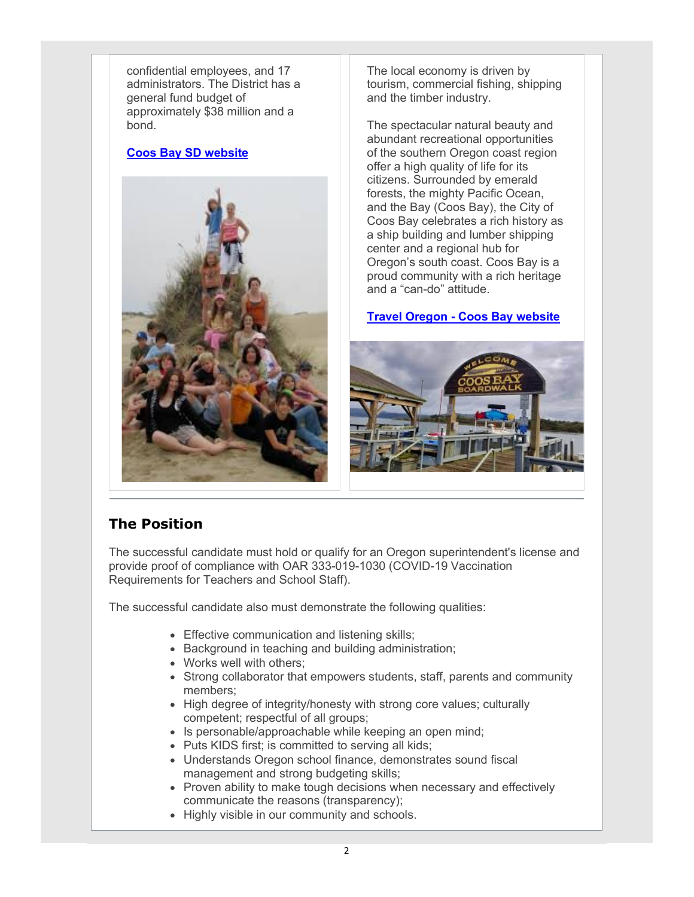confidential employees, and 17 administrators. The District has a general fund budget of approximately \$38 million and a bond.

### Coos Bay SD website



The local economy is driven by tourism, commercial fishing, shipping and the timber industry.

The spectacular natural beauty and abundant recreational opportunities of the southern Oregon coast region offer a high quality of life for its citizens. Surrounded by emerald forests, the mighty Pacific Ocean, and the Bay (Coos Bay), the City of Coos Bay celebrates a rich history as a ship building and lumber shipping center and a regional hub for Oregon's south coast. Coos Bay is a proud community with a rich heritage and a "can-do" attitude.

### Travel Oregon - Coos Bay website



# The Position

The successful candidate must hold or qualify for an Oregon superintendent's license and provide proof of compliance with OAR 333-019-1030 (COVID-19 Vaccination Requirements for Teachers and School Staff).

The successful candidate also must demonstrate the following qualities:

- Effective communication and listening skills;
- Background in teaching and building administration;
- Works well with others;
- Strong collaborator that empowers students, staff, parents and community members;
- High degree of integrity/honesty with strong core values; culturally competent; respectful of all groups;
- Is personable/approachable while keeping an open mind;
- Puts KIDS first; is committed to serving all kids;
- Understands Oregon school finance, demonstrates sound fiscal management and strong budgeting skills;
- Proven ability to make tough decisions when necessary and effectively communicate the reasons (transparency);
- Highly visible in our community and schools.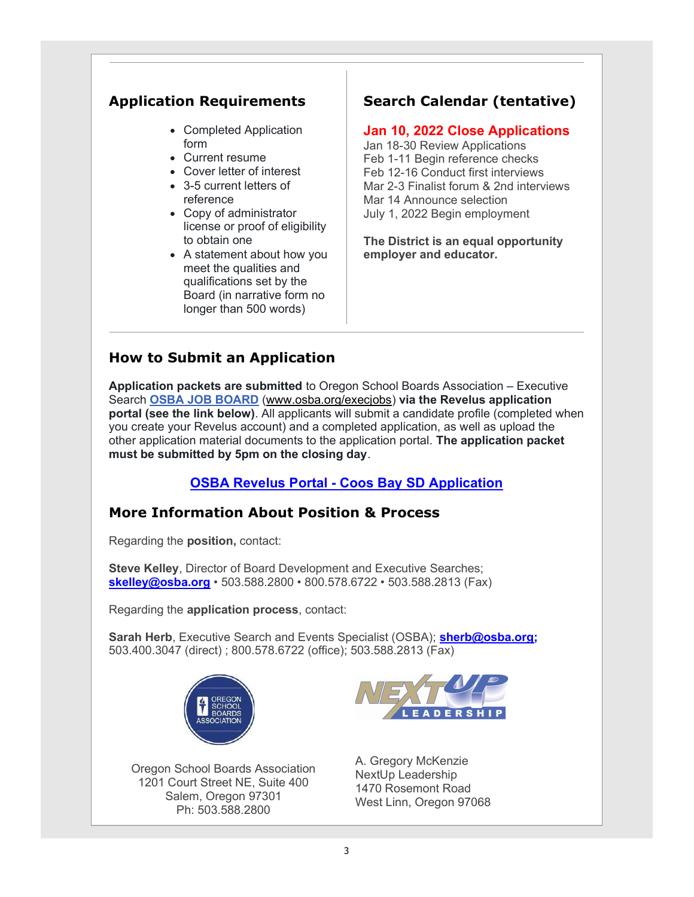# Application Requirements

- Completed Application form
- Current resume
- Cover letter of interest
- 3-5 current letters of reference
- Copy of administrator license or proof of eligibility to obtain one
- A statement about how you meet the qualities and qualifications set by the Board (in narrative form no longer than 500 words)

# Search Calendar (tentative)

### Jan 10, 2022 Close Applications

Jan 18-30 Review Applications Feb 1-11 Begin reference checks Feb 12-16 Conduct first interviews Mar 2-3 Finalist forum & 2nd interviews Mar 14 Announce selection July 1, 2022 Begin employment

The District is an equal opportunity employer and educator.

# How to Submit an Application

Application packets are submitted to Oregon School Boards Association – Executive Search OSBA JOB BOARD (www.osba.org/execjobs) via the Revelus application portal (see the link below). All applicants will submit a candidate profile (completed when you create your Revelus account) and a completed application, as well as upload the other application material documents to the application portal. The application packet must be submitted by 5pm on the closing day.

### OSBA Revelus Portal - Coos Bay SD Application

# More Information About Position & Process

Regarding the position, contact:

Steve Kelley, Director of Board Development and Executive Searches; skelley@osba.org • 503.588.2800 • 800.578.6722 • 503.588.2813 (Fax)

Regarding the application process, contact:

Sarah Herb, Executive Search and Events Specialist (OSBA); sherb@osba.org; 503.400.3047 (direct) ; 800.578.6722 (office); 503.588.2813 (Fax)



Oregon School Boards Association 1201 Court Street NE, Suite 400 Salem, Oregon 97301 Ph: 503.588.2800



A. Gregory McKenzie NextUp Leadership 1470 Rosemont Road West Linn, Oregon 97068